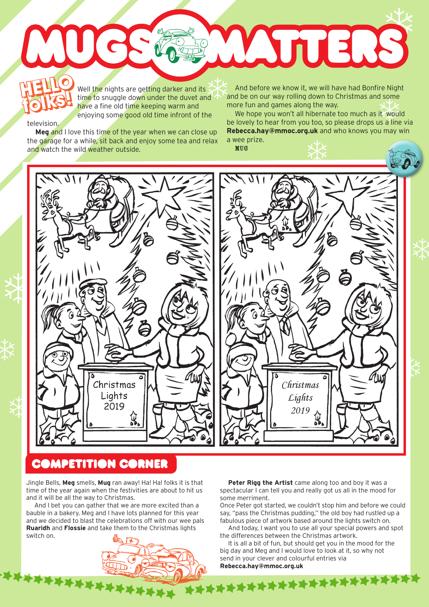WUERS MUG **HELLO HELLO w** 

MUG

Well the nights are getting darker and its time to snuggle down under the duvet and have a fine old time keeping warm and enjoying some good old time infront of the **folks!**

television.

**Meg** and I love this time of the year when we can close up the garage for a while, sit back and enjoy some tea and relax and watch the wild weather outside.

Well the nights are getting darker and its<br>
folks are a fine to snuggle down under the duvet and<br>
fore fun and games along the way.<br>
The have a fine old time keeping warm and<br>
more fun and games along the way. and be on our way rolling down to Christmas and some more fun and games along the way.

We hope you won't all hibernate too much as it would be lovely to hear from you too, so please drops us a line via **Rebecca.hay@mmoc.org.uk** and who knows you may win a wee prize.



## **COMPETITION CORNER**

Jingle Bells, **Meg** smells, **Mug** ran away! Ha! Ha! folks it is that time of the year again when the festivities are about to hit us and it will be all the way to Christmas.

And I bet you can gather that we are more excited than a bauble in a bakery. Meg and I have lots planned for this year and we decided to blast the celebrations off with our wee pals **Ruaridh** and **Flossie** and take them to the Christmas lights switch on.



**Peter Rigg the Artist** came along too and boy it was a spectacular I can tell you and really got us all in the mood for some merriment.

Once Peter got started, we couldn't stop him and before we could say, "pass the Christmas pudding,'' the old boy had rustled up a fabulous piece of artwork based around the lights switch on.

And today, I want you to use all your special powers and spot the differences between the Christmas artwork.

It is all a bit of fun, but should get you in the mood for the big day and Meg and I would love to look at it, so why not send in your clever and colourful entries via **Rebecca.hay@mmoc.org.uk**

**XXXXXXXXXXXXXXXXXXX**